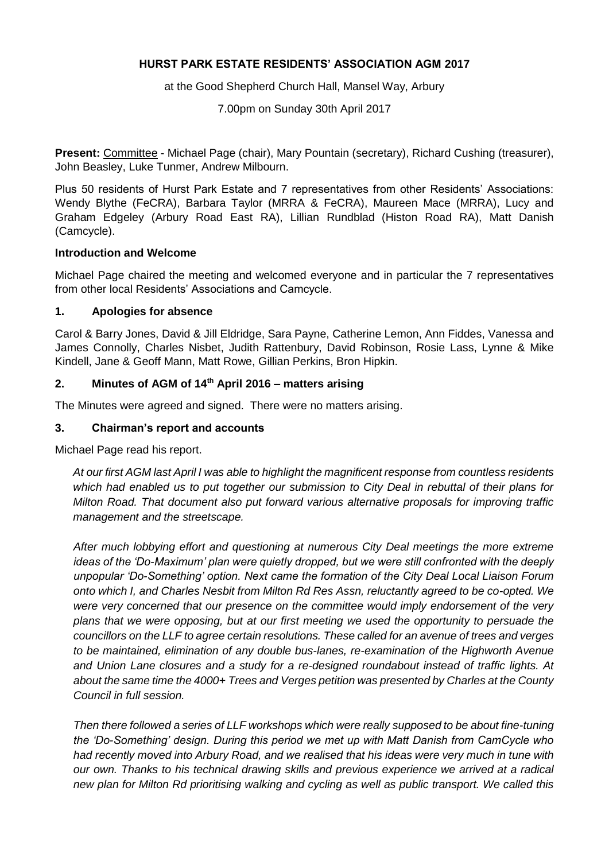### **HURST PARK ESTATE RESIDENTS' ASSOCIATION AGM 2017**

at the Good Shepherd Church Hall, Mansel Way, Arbury

7.00pm on Sunday 30th April 2017

**Present:** Committee - Michael Page (chair), Mary Pountain (secretary), Richard Cushing (treasurer), John Beasley, Luke Tunmer, Andrew Milbourn.

Plus 50 residents of Hurst Park Estate and 7 representatives from other Residents' Associations: Wendy Blythe (FeCRA), Barbara Taylor (MRRA & FeCRA), Maureen Mace (MRRA), Lucy and Graham Edgeley (Arbury Road East RA), Lillian Rundblad (Histon Road RA), Matt Danish (Camcycle).

#### **Introduction and Welcome**

Michael Page chaired the meeting and welcomed everyone and in particular the 7 representatives from other local Residents' Associations and Camcycle.

#### **1. Apologies for absence**

Carol & Barry Jones, David & Jill Eldridge, Sara Payne, Catherine Lemon, Ann Fiddes, Vanessa and James Connolly, Charles Nisbet, Judith Rattenbury, David Robinson, Rosie Lass, Lynne & Mike Kindell, Jane & Geoff Mann, Matt Rowe, Gillian Perkins, Bron Hipkin.

### **2. Minutes of AGM of 14th April 2016 – matters arising**

The Minutes were agreed and signed. There were no matters arising.

#### **3. Chairman's report and accounts**

Michael Page read his report.

*At our first AGM last April I was able to highlight the magnificent response from countless residents which had enabled us to put together our submission to City Deal in rebuttal of their plans for Milton Road. That document also put forward various alternative proposals for improving traffic management and the streetscape.*

*After much lobbying effort and questioning at numerous City Deal meetings the more extreme ideas of the 'Do-Maximum' plan were quietly dropped, but we were still confronted with the deeply unpopular 'Do-Something' option. Next came the formation of the City Deal Local Liaison Forum onto which I, and Charles Nesbit from Milton Rd Res Assn, reluctantly agreed to be co-opted. We were very concerned that our presence on the committee would imply endorsement of the very plans that we were opposing, but at our first meeting we used the opportunity to persuade the councillors on the LLF to agree certain resolutions. These called for an avenue of trees and verges to be maintained, elimination of any double bus-lanes, re-examination of the Highworth Avenue and Union Lane closures and a study for a re-designed roundabout instead of traffic lights. At about the same time the 4000+ Trees and Verges petition was presented by Charles at the County Council in full session.*

*Then there followed a series of LLF workshops which were really supposed to be about fine-tuning the 'Do-Something' design. During this period we met up with Matt Danish from CamCycle who had recently moved into Arbury Road, and we realised that his ideas were very much in tune with our own. Thanks to his technical drawing skills and previous experience we arrived at a radical new plan for Milton Rd prioritising walking and cycling as well as public transport. We called this*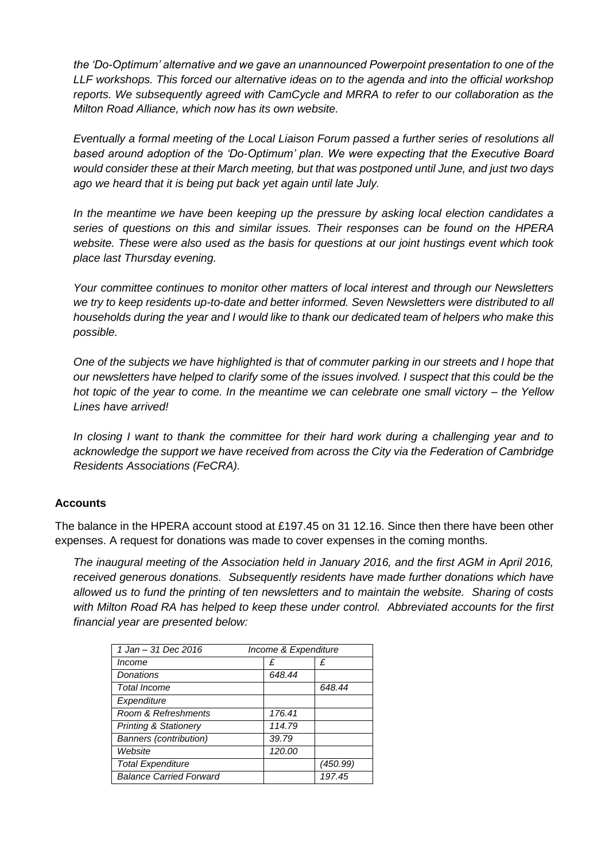*the 'Do-Optimum' alternative and we gave an unannounced Powerpoint presentation to one of the LLF workshops. This forced our alternative ideas on to the agenda and into the official workshop reports. We subsequently agreed with CamCycle and MRRA to refer to our collaboration as the Milton Road Alliance, which now has its own website.*

*Eventually a formal meeting of the Local Liaison Forum passed a further series of resolutions all based around adoption of the 'Do-Optimum' plan. We were expecting that the Executive Board would consider these at their March meeting, but that was postponed until June, and just two days ago we heard that it is being put back yet again until late July.*

In the meantime we have been keeping up the pressure by asking local election candidates a *series of questions on this and similar issues. Their responses can be found on the HPERA website. These were also used as the basis for questions at our joint hustings event which took place last Thursday evening.*

*Your committee continues to monitor other matters of local interest and through our Newsletters we try to keep residents up-to-date and better informed. Seven Newsletters were distributed to all households during the year and I would like to thank our dedicated team of helpers who make this possible.*

*One of the subjects we have highlighted is that of commuter parking in our streets and I hope that our newsletters have helped to clarify some of the issues involved. I suspect that this could be the hot topic of the year to come. In the meantime we can celebrate one small victory – the Yellow Lines have arrived!*

*In closing I want to thank the committee for their hard work during a challenging year and to acknowledge the support we have received from across the City via the Federation of Cambridge Residents Associations (FeCRA).*

### **Accounts**

The balance in the HPERA account stood at £197.45 on 31 12.16. Since then there have been other expenses. A request for donations was made to cover expenses in the coming months.

*The inaugural meeting of the Association held in January 2016, and the first AGM in April 2016, received generous donations. Subsequently residents have made further donations which have allowed us to fund the printing of ten newsletters and to maintain the website. Sharing of costs with Milton Road RA has helped to keep these under control. Abbreviated accounts for the first financial year are presented below:*

| 1 Jan - 31 Dec 2016              | Income & Expenditure |          |
|----------------------------------|----------------------|----------|
|                                  |                      |          |
| Income                           | £                    | £        |
| <b>Donations</b>                 | 648.44               |          |
| <b>Total Income</b>              |                      | 648.44   |
| Expenditure                      |                      |          |
| Room & Refreshments              | 176.41               |          |
| <b>Printing &amp; Stationery</b> | 114.79               |          |
| <b>Banners (contribution)</b>    | 39.79                |          |
| Website                          | 120.00               |          |
| <b>Total Expenditure</b>         |                      | (450.99) |
| <b>Balance Carried Forward</b>   |                      | 197.45   |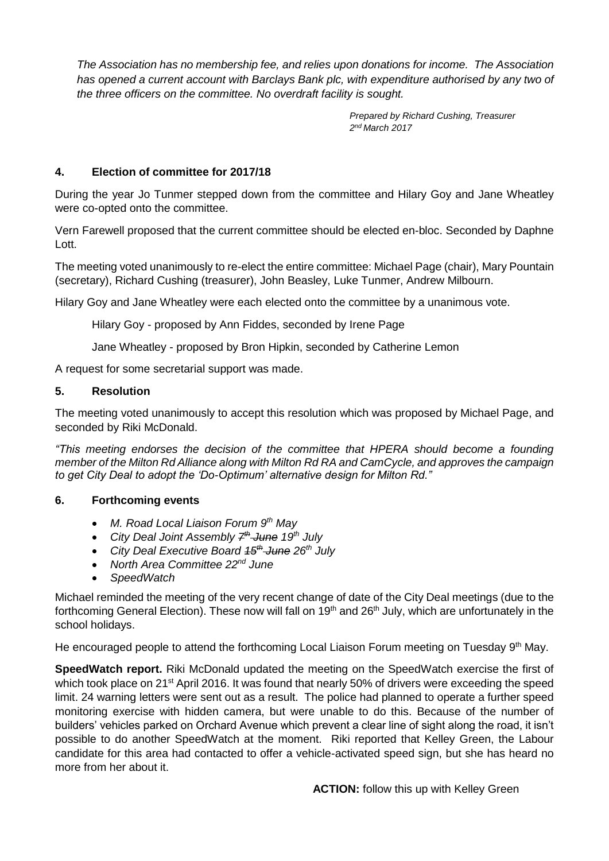*The Association has no membership fee, and relies upon donations for income. The Association has opened a current account with Barclays Bank plc, with expenditure authorised by any two of the three officers on the committee. No overdraft facility is sought.*

> *Prepared by Richard Cushing, Treasurer 2 nd March 2017*

# **4. Election of committee for 2017/18**

During the year Jo Tunmer stepped down from the committee and Hilary Goy and Jane Wheatley were co-opted onto the committee.

Vern Farewell proposed that the current committee should be elected en-bloc. Seconded by Daphne Lott.

The meeting voted unanimously to re-elect the entire committee: Michael Page (chair), Mary Pountain (secretary), Richard Cushing (treasurer), John Beasley, Luke Tunmer, Andrew Milbourn.

Hilary Goy and Jane Wheatley were each elected onto the committee by a unanimous vote.

Hilary Goy - proposed by Ann Fiddes, seconded by Irene Page

Jane Wheatley - proposed by Bron Hipkin, seconded by Catherine Lemon

A request for some secretarial support was made.

### **5. Resolution**

The meeting voted unanimously to accept this resolution which was proposed by Michael Page, and seconded by Riki McDonald.

*"This meeting endorses the decision of the committee that HPERA should become a founding member of the Milton Rd Alliance along with Milton Rd RA and CamCycle, and approves the campaign to get City Deal to adopt the 'Do-Optimum' alternative design for Milton Rd."*

# **6. Forthcoming events**

- *M. Road Local Liaison Forum 9th May*
- *City Deal Joint Assembly 7 th June 19th July*
- *City Deal Executive Board 15th June 26th July*
- *North Area Committee 22nd June*
- *SpeedWatch*

Michael reminded the meeting of the very recent change of date of the City Deal meetings (due to the forthcoming General Election). These now will fall on 19<sup>th</sup> and 26<sup>th</sup> July, which are unfortunately in the school holidays.

He encouraged people to attend the forthcoming Local Liaison Forum meeting on Tuesday  $9<sup>th</sup>$  May.

**SpeedWatch report.** Riki McDonald updated the meeting on the SpeedWatch exercise the first of which took place on 21<sup>st</sup> April 2016. It was found that nearly 50% of drivers were exceeding the speed limit. 24 warning letters were sent out as a result. The police had planned to operate a further speed monitoring exercise with hidden camera, but were unable to do this. Because of the number of builders' vehicles parked on Orchard Avenue which prevent a clear line of sight along the road, it isn't possible to do another SpeedWatch at the moment. Riki reported that Kelley Green, the Labour candidate for this area had contacted to offer a vehicle-activated speed sign, but she has heard no more from her about it.